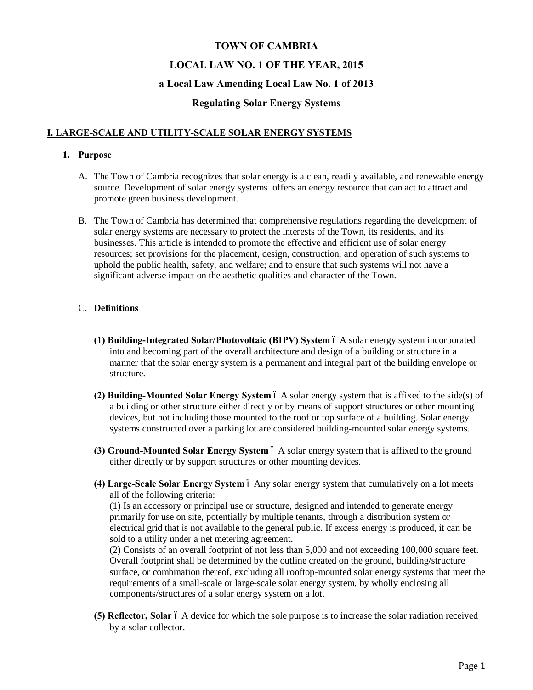# **TOWN OF CAMBRIA LOCAL LAW NO. 1 OF THE YEAR, 2015**

## **a Local Law Amending Local Law No. 1 of 2013**

# **Regulating Solar Energy Systems**

# **I. LARGE-SCALE AND UTILITY-SCALE SOLAR ENERGY SYSTEMS**

## **1. Purpose**

- A. The Town of Cambria recognizes that solar energy is a clean, readily available, and renewable energy source. Development of solar energy systems offers an energy resource that can act to attract and promote green business development.
- B. The Town of Cambria has determined that comprehensive regulations regarding the development of solar energy systems are necessary to protect the interests of the Town, its residents, and its businesses. This article is intended to promote the effective and efficient use of solar energy resources; set provisions for the placement, design, construction, and operation of such systems to uphold the public health, safety, and welfare; and to ensure that such systems will not have a significant adverse impact on the aesthetic qualities and character of the Town.

## C. **Definitions**

- **(1) Building-Integrated Solar/Photovoltaic (BIPV) System** 6 A solar energy system incorporated into and becoming part of the overall architecture and design of a building or structure in a manner that the solar energy system is a permanent and integral part of the building envelope or structure.
- **(2) Building-Mounted Solar Energy System** 6 A solar energy system that is affixed to the side(s) of a building or other structure either directly or by means of support structures or other mounting devices, but not including those mounted to the roof or top surface of a building. Solar energy systems constructed over a parking lot are considered building-mounted solar energy systems.
- **(3) Ground-Mounted Solar Energy System** 6 A solar energy system that is affixed to the ground either directly or by support structures or other mounting devices.
- (4) Large-Scale Solar Energy System 6 Any solar energy system that cumulatively on a lot meets all of the following criteria:

(1) Is an accessory or principal use or structure, designed and intended to generate energy primarily for use on site, potentially by multiple tenants, through a distribution system or electrical grid that is not available to the general public. If excess energy is produced, it can be sold to a utility under a net metering agreement.

(2) Consists of an overall footprint of not less than 5,000 and not exceeding 100,000 square feet. Overall footprint shall be determined by the outline created on the ground, building/structure surface, or combination thereof, excluding all rooftop-mounted solar energy systems that meet the requirements of a small-scale or large-scale solar energy system, by wholly enclosing all components/structures of a solar energy system on a lot.

**(5) Reflector, Solar** 6 A device for which the sole purpose is to increase the solar radiation received by a solar collector.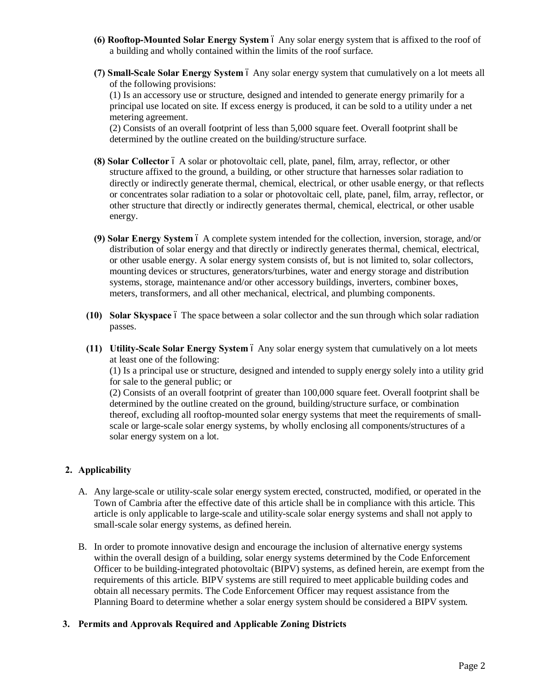- **(6) Rooftop-Mounted Solar Energy System** 6 Any solar energy system that is affixed to the roof of a building and wholly contained within the limits of the roof surface.
- **(7) Small-Scale Solar Energy System** 6 Any solar energy system that cumulatively on a lot meets all of the following provisions:

(1) Is an accessory use or structure, designed and intended to generate energy primarily for a principal use located on site. If excess energy is produced, it can be sold to a utility under a net metering agreement.

(2) Consists of an overall footprint of less than 5,000 square feet. Overall footprint shall be determined by the outline created on the building/structure surface.

- **(8) Solar Collector** 6 A solar or photovoltaic cell, plate, panel, film, array, reflector, or other structure affixed to the ground, a building, or other structure that harnesses solar radiation to directly or indirectly generate thermal, chemical, electrical, or other usable energy, or that reflects or concentrates solar radiation to a solar or photovoltaic cell, plate, panel, film, array, reflector, or other structure that directly or indirectly generates thermal, chemical, electrical, or other usable energy.
- **(9) Solar Energy System** 6 A complete system intended for the collection, inversion, storage, and/or distribution of solar energy and that directly or indirectly generates thermal, chemical, electrical, or other usable energy. A solar energy system consists of, but is not limited to, solar collectors, mounting devices or structures, generators/turbines, water and energy storage and distribution systems, storage, maintenance and/or other accessory buildings, inverters, combiner boxes, meters, transformers, and all other mechanical, electrical, and plumbing components.
- **(10) Solar Skyspace** 6 The space between a solar collector and the sun through which solar radiation passes.
- **(11)** Utility-Scale Solar Energy System 6 Any solar energy system that cumulatively on a lot meets at least one of the following:

(1) Is a principal use or structure, designed and intended to supply energy solely into a utility grid for sale to the general public; or

(2) Consists of an overall footprint of greater than 100,000 square feet. Overall footprint shall be determined by the outline created on the ground, building/structure surface, or combination thereof, excluding all rooftop-mounted solar energy systems that meet the requirements of smallscale or large-scale solar energy systems, by wholly enclosing all components/structures of a solar energy system on a lot.

## **2. Applicability**

- A. Any large-scale or utility-scale solar energy system erected, constructed, modified, or operated in the Town of Cambria after the effective date of this article shall be in compliance with this article. This article is only applicable to large-scale and utility-scale solar energy systems and shall not apply to small-scale solar energy systems, as defined herein.
- B. In order to promote innovative design and encourage the inclusion of alternative energy systems within the overall design of a building, solar energy systems determined by the Code Enforcement Officer to be building-integrated photovoltaic (BIPV) systems, as defined herein, are exempt from the requirements of this article. BIPV systems are still required to meet applicable building codes and obtain all necessary permits. The Code Enforcement Officer may request assistance from the Planning Board to determine whether a solar energy system should be considered a BIPV system.

#### **3. Permits and Approvals Required and Applicable Zoning Districts**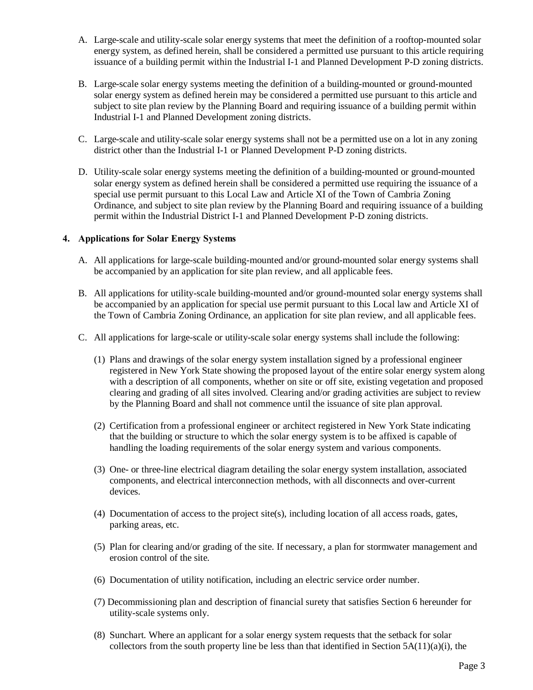- A. Large-scale and utility-scale solar energy systems that meet the definition of a rooftop-mounted solar energy system, as defined herein, shall be considered a permitted use pursuant to this article requiring issuance of a building permit within the Industrial I-1 and Planned Development P-D zoning districts.
- B. Large-scale solar energy systems meeting the definition of a building-mounted or ground-mounted solar energy system as defined herein may be considered a permitted use pursuant to this article and subject to site plan review by the Planning Board and requiring issuance of a building permit within Industrial I-1 and Planned Development zoning districts.
- C. Large-scale and utility-scale solar energy systems shall not be a permitted use on a lot in any zoning district other than the Industrial I-1 or Planned Development P-D zoning districts.
- D. Utility-scale solar energy systems meeting the definition of a building-mounted or ground-mounted solar energy system as defined herein shall be considered a permitted use requiring the issuance of a special use permit pursuant to this Local Law and Article XI of the Town of Cambria Zoning Ordinance, and subject to site plan review by the Planning Board and requiring issuance of a building permit within the Industrial District I-1 and Planned Development P-D zoning districts.

#### **4. Applications for Solar Energy Systems**

- A. All applications for large-scale building-mounted and/or ground-mounted solar energy systems shall be accompanied by an application for site plan review, and all applicable fees.
- B. All applications for utility-scale building-mounted and/or ground-mounted solar energy systems shall be accompanied by an application for special use permit pursuant to this Local law and Article XI of the Town of Cambria Zoning Ordinance, an application for site plan review, and all applicable fees.
- C. All applications for large-scale or utility-scale solar energy systems shall include the following:
	- (1) Plans and drawings of the solar energy system installation signed by a professional engineer registered in New York State showing the proposed layout of the entire solar energy system along with a description of all components, whether on site or off site, existing vegetation and proposed clearing and grading of all sites involved. Clearing and/or grading activities are subject to review by the Planning Board and shall not commence until the issuance of site plan approval.
	- (2) Certification from a professional engineer or architect registered in New York State indicating that the building or structure to which the solar energy system is to be affixed is capable of handling the loading requirements of the solar energy system and various components.
	- (3) One- or three-line electrical diagram detailing the solar energy system installation, associated components, and electrical interconnection methods, with all disconnects and over-current devices.
	- (4) Documentation of access to the project site(s), including location of all access roads, gates, parking areas, etc.
	- (5) Plan for clearing and/or grading of the site. If necessary, a plan for stormwater management and erosion control of the site.
	- (6) Documentation of utility notification, including an electric service order number.
	- (7) Decommissioning plan and description of financial surety that satisfies Section 6 hereunder for utility-scale systems only.
	- (8) Sunchart. Where an applicant for a solar energy system requests that the setback for solar collectors from the south property line be less than that identified in Section  $5A(11)(a)(i)$ , the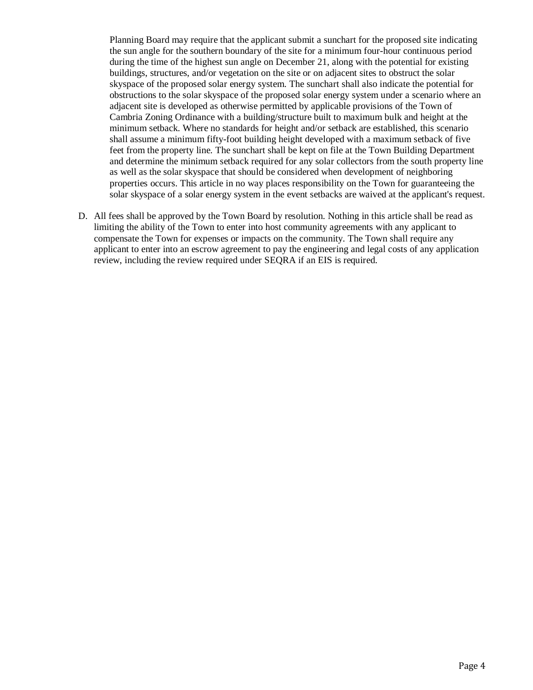Planning Board may require that the applicant submit a sunchart for the proposed site indicating the sun angle for the southern boundary of the site for a minimum four-hour continuous period during the time of the highest sun angle on December 21, along with the potential for existing buildings, structures, and/or vegetation on the site or on adjacent sites to obstruct the solar skyspace of the proposed solar energy system. The sunchart shall also indicate the potential for obstructions to the solar skyspace of the proposed solar energy system under a scenario where an adjacent site is developed as otherwise permitted by applicable provisions of the Town of Cambria Zoning Ordinance with a building/structure built to maximum bulk and height at the minimum setback. Where no standards for height and/or setback are established, this scenario shall assume a minimum fifty-foot building height developed with a maximum setback of five feet from the property line. The sunchart shall be kept on file at the Town Building Department and determine the minimum setback required for any solar collectors from the south property line as well as the solar skyspace that should be considered when development of neighboring properties occurs. This article in no way places responsibility on the Town for guaranteeing the solar skyspace of a solar energy system in the event setbacks are waived at the applicant's request.

D. All fees shall be approved by the Town Board by resolution. Nothing in this article shall be read as limiting the ability of the Town to enter into host community agreements with any applicant to compensate the Town for expenses or impacts on the community. The Town shall require any applicant to enter into an escrow agreement to pay the engineering and legal costs of any application review, including the review required under SEQRA if an EIS is required.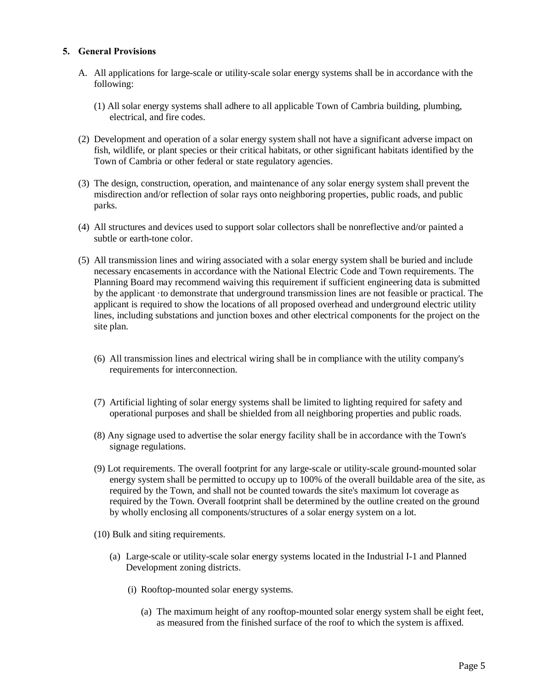## **5. General Provisions**

- A. All applications for large-scale or utility-scale solar energy systems shall be in accordance with the following:
	- (1) All solar energy systems shall adhere to all applicable Town of Cambria building, plumbing, electrical, and fire codes.
- (2) Development and operation of a solar energy system shall not have a significant adverse impact on fish, wildlife, or plant species or their critical habitats, or other significant habitats identified by the Town of Cambria or other federal or state regulatory agencies.
- (3) The design, construction, operation, and maintenance of any solar energy system shall prevent the misdirection and/or reflection of solar rays onto neighboring properties, public roads, and public parks.
- (4) All structures and devices used to support solar collectors shall be nonreflective and/or painted a subtle or earth-tone color.
- (5) All transmission lines and wiring associated with a solar energy system shall be buried and include necessary encasements in accordance with the National Electric Code and Town requirements. The Planning Board may recommend waiving this requirement if sufficient engineering data is submitted by the applicant ·to demonstrate that underground transmission lines are not feasible or practical. The applicant is required to show the locations of all proposed overhead and underground electric utility lines, including substations and junction boxes and other electrical components for the project on the site plan.
	- (6) All transmission lines and electrical wiring shall be in compliance with the utility company's requirements for interconnection.
	- (7) Artificial lighting of solar energy systems shall be limited to lighting required for safety and operational purposes and shall be shielded from all neighboring properties and public roads.
	- (8) Any signage used to advertise the solar energy facility shall be in accordance with the Town's signage regulations.
	- (9) Lot requirements. The overall footprint for any large-scale or utility-scale ground-mounted solar energy system shall be permitted to occupy up to 100% of the overall buildable area of the site, as required by the Town, and shall not be counted towards the site's maximum lot coverage as required by the Town. Overall footprint shall be determined by the outline created on the ground by wholly enclosing all components/structures of a solar energy system on a lot.
	- (10) Bulk and siting requirements.
		- (a) Large-scale or utility-scale solar energy systems located in the Industrial I-1 and Planned Development zoning districts.
			- (i) Rooftop-mounted solar energy systems.
				- (a) The maximum height of any rooftop-mounted solar energy system shall be eight feet, as measured from the finished surface of the roof to which the system is affixed.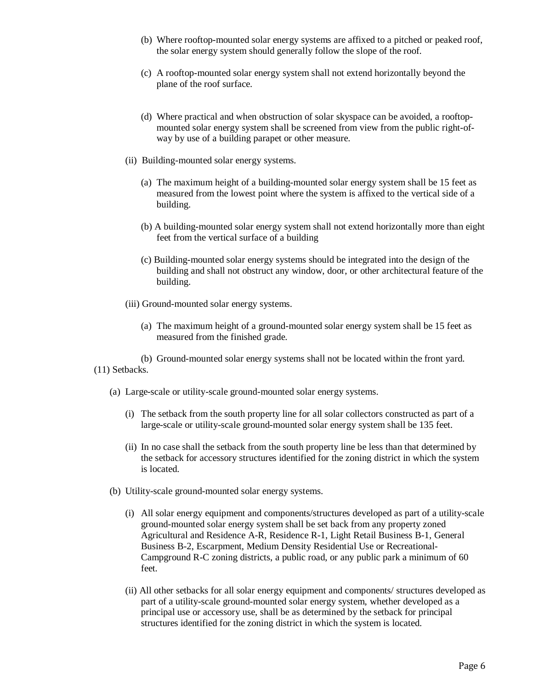- (b) Where rooftop-mounted solar energy systems are affixed to a pitched or peaked roof, the solar energy system should generally follow the slope of the roof.
- (c) A rooftop-mounted solar energy system shall not extend horizontally beyond the plane of the roof surface.
- (d) Where practical and when obstruction of solar skyspace can be avoided, a rooftopmounted solar energy system shall be screened from view from the public right-ofway by use of a building parapet or other measure.
- (ii) Building-mounted solar energy systems.
	- (a) The maximum height of a building-mounted solar energy system shall be 15 feet as measured from the lowest point where the system is affixed to the vertical side of a building.
	- (b) A building-mounted solar energy system shall not extend horizontally more than eight feet from the vertical surface of a building
	- (c) Building-mounted solar energy systems should be integrated into the design of the building and shall not obstruct any window, door, or other architectural feature of the building.
- (iii) Ground-mounted solar energy systems.
	- (a) The maximum height of a ground-mounted solar energy system shall be 15 feet as measured from the finished grade.
- (b) Ground-mounted solar energy systems shall not be located within the front yard. (11) Setbacks.
	- (a) Large-scale or utility-scale ground-mounted solar energy systems.
		- (i) The setback from the south property line for all solar collectors constructed as part of a large-scale or utility-scale ground-mounted solar energy system shall be 135 feet.
		- (ii) In no case shall the setback from the south property line be less than that determined by the setback for accessory structures identified for the zoning district in which the system is located.
	- (b) Utility-scale ground-mounted solar energy systems.
		- (i) All solar energy equipment and components/structures developed as part of a utility-scale ground-mounted solar energy system shall be set back from any property zoned Agricultural and Residence A-R, Residence R-1, Light Retail Business B-1, General Business B-2, Escarpment, Medium Density Residential Use or Recreational-Campground R-C zoning districts, a public road, or any public park a minimum of 60 feet.
		- (ii) All other setbacks for all solar energy equipment and components/ structures developed as part of a utility-scale ground-mounted solar energy system, whether developed as a principal use or accessory use, shall be as determined by the setback for principal structures identified for the zoning district in which the system is located.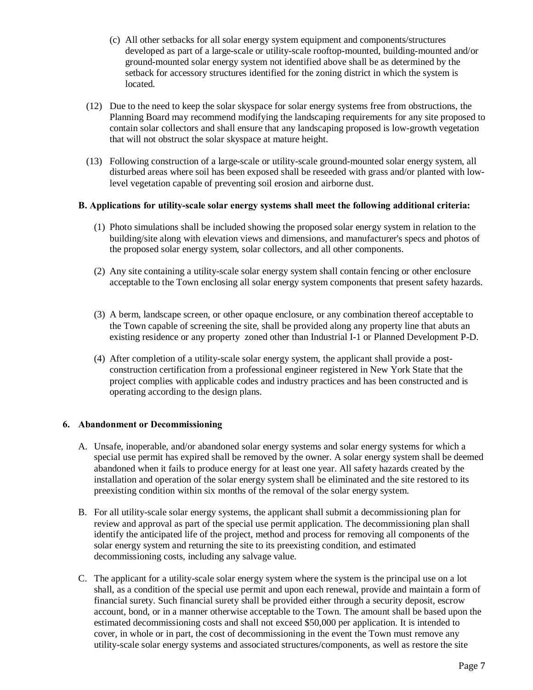- (c) All other setbacks for all solar energy system equipment and components/structures developed as part of a large-scale or utility-scale rooftop-mounted, building-mounted and/or ground-mounted solar energy system not identified above shall be as determined by the setback for accessory structures identified for the zoning district in which the system is located.
- (12) Due to the need to keep the solar skyspace for solar energy systems free from obstructions, the Planning Board may recommend modifying the landscaping requirements for any site proposed to contain solar collectors and shall ensure that any landscaping proposed is low-growth vegetation that will not obstruct the solar skyspace at mature height.
- (13) Following construction of a large-scale or utility-scale ground-mounted solar energy system, all disturbed areas where soil has been exposed shall be reseeded with grass and/or planted with lowlevel vegetation capable of preventing soil erosion and airborne dust.

#### **B. Applications for utility-scale solar energy systems shall meet the following additional criteria:**

- (1) Photo simulations shall be included showing the proposed solar energy system in relation to the building/site along with elevation views and dimensions, and manufacturer's specs and photos of the proposed solar energy system, solar collectors, and all other components.
- (2) Any site containing a utility-scale solar energy system shall contain fencing or other enclosure acceptable to the Town enclosing all solar energy system components that present safety hazards.
- (3) A berm, landscape screen, or other opaque enclosure, or any combination thereof acceptable to the Town capable of screening the site, shall be provided along any property line that abuts an existing residence or any property zoned other than Industrial I-1 or Planned Development P-D.
- (4) After completion of a utility-scale solar energy system, the applicant shall provide a postconstruction certification from a professional engineer registered in New York State that the project complies with applicable codes and industry practices and has been constructed and is operating according to the design plans.

#### **6. Abandonment or Decommissioning**

- A. Unsafe, inoperable, and/or abandoned solar energy systems and solar energy systems for which a special use permit has expired shall be removed by the owner. A solar energy system shall be deemed abandoned when it fails to produce energy for at least one year. All safety hazards created by the installation and operation of the solar energy system shall be eliminated and the site restored to its preexisting condition within six months of the removal of the solar energy system.
- B. For all utility-scale solar energy systems, the applicant shall submit a decommissioning plan for review and approval as part of the special use permit application. The decommissioning plan shall identify the anticipated life of the project, method and process for removing all components of the solar energy system and returning the site to its preexisting condition, and estimated decommissioning costs, including any salvage value.
- C. The applicant for a utility-scale solar energy system where the system is the principal use on a lot shall, as a condition of the special use permit and upon each renewal, provide and maintain a form of financial surety. Such financial surety shall be provided either through a security deposit, escrow account, bond, or in a manner otherwise acceptable to the Town. The amount shall be based upon the estimated decommissioning costs and shall not exceed \$50,000 per application. It is intended to cover, in whole or in part, the cost of decommissioning in the event the Town must remove any utility-scale solar energy systems and associated structures/components, as well as restore the site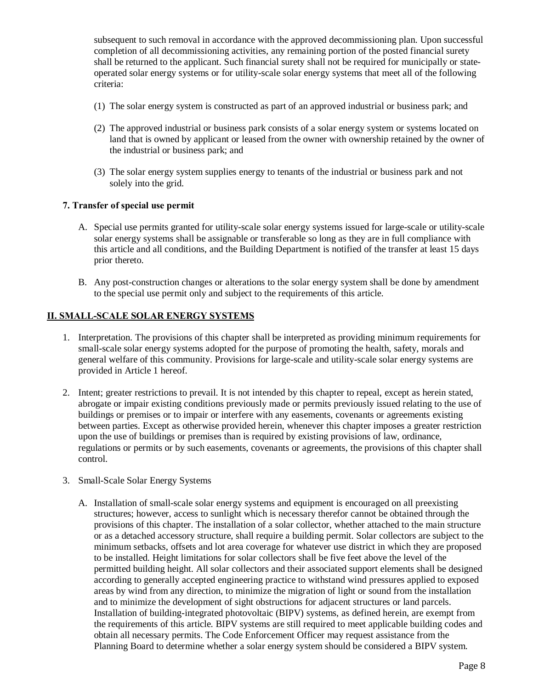subsequent to such removal in accordance with the approved decommissioning plan. Upon successful completion of all decommissioning activities, any remaining portion of the posted financial surety shall be returned to the applicant. Such financial surety shall not be required for municipally or stateoperated solar energy systems or for utility-scale solar energy systems that meet all of the following criteria:

- (1) The solar energy system is constructed as part of an approved industrial or business park; and
- (2) The approved industrial or business park consists of a solar energy system or systems located on land that is owned by applicant or leased from the owner with ownership retained by the owner of the industrial or business park; and
- (3) The solar energy system supplies energy to tenants of the industrial or business park and not solely into the grid.

#### **7. Transfer of special use permit**

- A. Special use permits granted for utility-scale solar energy systems issued for large-scale or utility-scale solar energy systems shall be assignable or transferable so long as they are in full compliance with this article and all conditions, and the Building Department is notified of the transfer at least 15 days prior thereto.
- B. Any post-construction changes or alterations to the solar energy system shall be done by amendment to the special use permit only and subject to the requirements of this article.

#### **II. SMALL-SCALE SOLAR ENERGY SYSTEMS**

- 1. Interpretation. The provisions of this chapter shall be interpreted as providing minimum requirements for small-scale solar energy systems adopted for the purpose of promoting the health, safety, morals and general welfare of this community. Provisions for large-scale and utility-scale solar energy systems are provided in Article 1 hereof.
- 2. Intent; greater restrictions to prevail. It is not intended by this chapter to repeal, except as herein stated, abrogate or impair existing conditions previously made or permits previously issued relating to the use of buildings or premises or to impair or interfere with any easements, covenants or agreements existing between parties. Except as otherwise provided herein, whenever this chapter imposes a greater restriction upon the use of buildings or premises than is required by existing provisions of law, ordinance, regulations or permits or by such easements, covenants or agreements, the provisions of this chapter shall control.
- 3. Small-Scale Solar Energy Systems
	- A. Installation of small-scale solar energy systems and equipment is encouraged on all preexisting structures; however, access to sunlight which is necessary therefor cannot be obtained through the provisions of this chapter. The installation of a solar collector, whether attached to the main structure or as a detached accessory structure, shall require a building permit. Solar collectors are subject to the minimum setbacks, offsets and lot area coverage for whatever use district in which they are proposed to be installed. Height limitations for solar collectors shall be five feet above the level of the permitted building height. All solar collectors and their associated support elements shall be designed according to generally accepted engineering practice to withstand wind pressures applied to exposed areas by wind from any direction, to minimize the migration of light or sound from the installation and to minimize the development of sight obstructions for adjacent structures or land parcels. Installation of building-integrated photovoltaic (BIPV) systems, as defined herein, are exempt from the requirements of this article. BIPV systems are still required to meet applicable building codes and obtain all necessary permits. The Code Enforcement Officer may request assistance from the Planning Board to determine whether a solar energy system should be considered a BIPV system.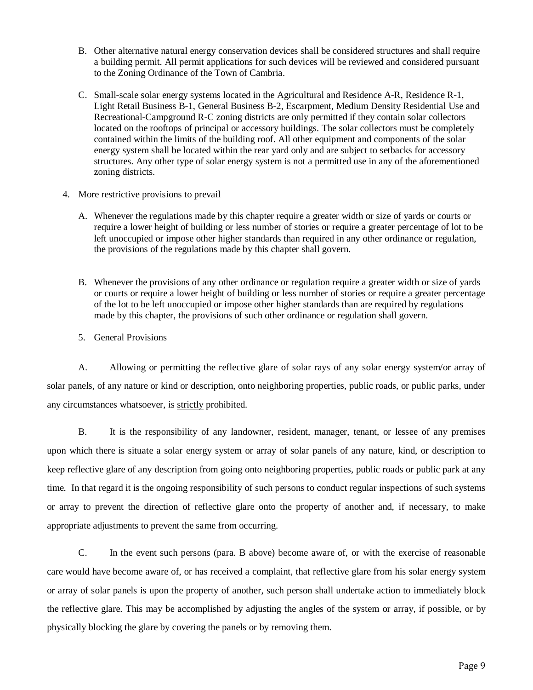- B. Other alternative natural energy conservation devices shall be considered structures and shall require a building permit. All permit applications for such devices will be reviewed and considered pursuant to the Zoning Ordinance of the Town of Cambria.
- C. Small-scale solar energy systems located in the Agricultural and Residence A-R, Residence R-1, Light Retail Business B-1, General Business B-2, Escarpment, Medium Density Residential Use and Recreational-Campground R-C zoning districts are only permitted if they contain solar collectors located on the rooftops of principal or accessory buildings. The solar collectors must be completely contained within the limits of the building roof. All other equipment and components of the solar energy system shall be located within the rear yard only and are subject to setbacks for accessory structures. Any other type of solar energy system is not a permitted use in any of the aforementioned zoning districts.
- 4. More restrictive provisions to prevail
	- A. Whenever the regulations made by this chapter require a greater width or size of yards or courts or require a lower height of building or less number of stories or require a greater percentage of lot to be left unoccupied or impose other higher standards than required in any other ordinance or regulation, the provisions of the regulations made by this chapter shall govern.
	- B. Whenever the provisions of any other ordinance or regulation require a greater width or size of yards or courts or require a lower height of building or less number of stories or require a greater percentage of the lot to be left unoccupied or impose other higher standards than are required by regulations made by this chapter, the provisions of such other ordinance or regulation shall govern.
	- 5. General Provisions

A. Allowing or permitting the reflective glare of solar rays of any solar energy system/or array of solar panels, of any nature or kind or description, onto neighboring properties, public roads, or public parks, under any circumstances whatsoever, is strictly prohibited.

B. It is the responsibility of any landowner, resident, manager, tenant, or lessee of any premises upon which there is situate a solar energy system or array of solar panels of any nature, kind, or description to keep reflective glare of any description from going onto neighboring properties, public roads or public park at any time. In that regard it is the ongoing responsibility of such persons to conduct regular inspections of such systems or array to prevent the direction of reflective glare onto the property of another and, if necessary, to make appropriate adjustments to prevent the same from occurring.

C. In the event such persons (para. B above) become aware of, or with the exercise of reasonable care would have become aware of, or has received a complaint, that reflective glare from his solar energy system or array of solar panels is upon the property of another, such person shall undertake action to immediately block the reflective glare. This may be accomplished by adjusting the angles of the system or array, if possible, or by physically blocking the glare by covering the panels or by removing them.